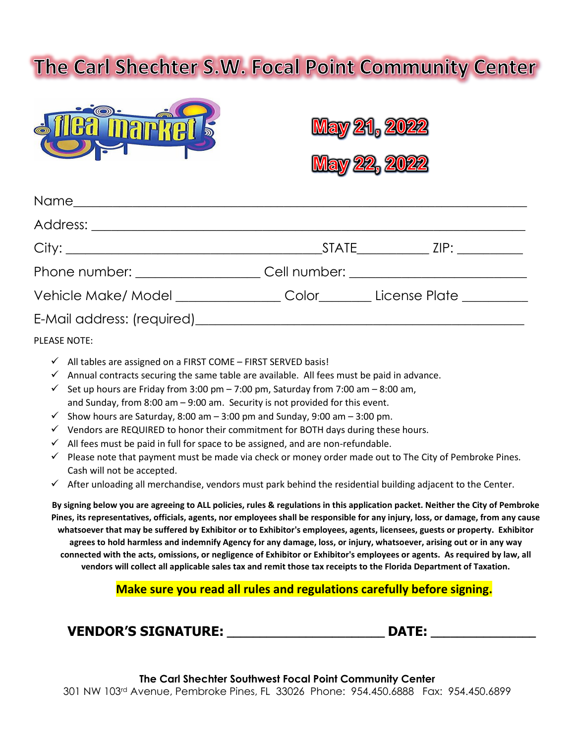# The Carl Shechter S.W. Focal Point Community Center







| Phone number: ________________________Cell number: _____________________________ |  |
|----------------------------------------------------------------------------------|--|
| Vehicle Make/ Model _________________Color_________License Plate _______________ |  |
|                                                                                  |  |
| PLEASE NOTE:                                                                     |  |

- $\checkmark$  All tables are assigned on a FIRST COME FIRST SERVED basis!
- $\checkmark$  Annual contracts securing the same table are available. All fees must be paid in advance.
- Set up hours are Friday from 3:00 pm 7:00 pm, Saturday from 7:00 am 8:00 am, and Sunday, from 8:00 am – 9:00 am. Security is not provided for this event.
- $\checkmark$  Show hours are Saturday, 8:00 am  $-$  3:00 pm and Sunday, 9:00 am  $-$  3:00 pm.
- $\checkmark$  Vendors are REQUIRED to honor their commitment for BOTH days during these hours.
- $\checkmark$  All fees must be paid in full for space to be assigned, and are non-refundable.
- $\checkmark$  Please note that payment must be made via check or money order made out to The City of Pembroke Pines. Cash will not be accepted.
- $\checkmark$  After unloading all merchandise, vendors must park behind the residential building adjacent to the Center.

**By signing below you are agreeing to ALL policies, rules & regulations in this application packet. Neither the City of Pembroke Pines, its representatives, officials, agents, nor employees shall be responsible for any injury, loss, or damage, from any cause whatsoever that may be suffered by Exhibitor or to Exhibitor's employees, agents, licensees, guests or property. Exhibitor agrees to hold harmless and indemnify Agency for any damage, loss, or injury, whatsoever, arising out or in any way connected with the acts, omissions, or negligence of Exhibitor or Exhibitor's employees or agents. As required by law, all vendors will collect all applicable sales tax and remit those tax receipts to the Florida Department of Taxation.**

**Make sure you read all rules and regulations carefully before signing.**

| <b>VENDOR'S SIGNATURE:</b> | <b>DATE:</b> |
|----------------------------|--------------|
|                            |              |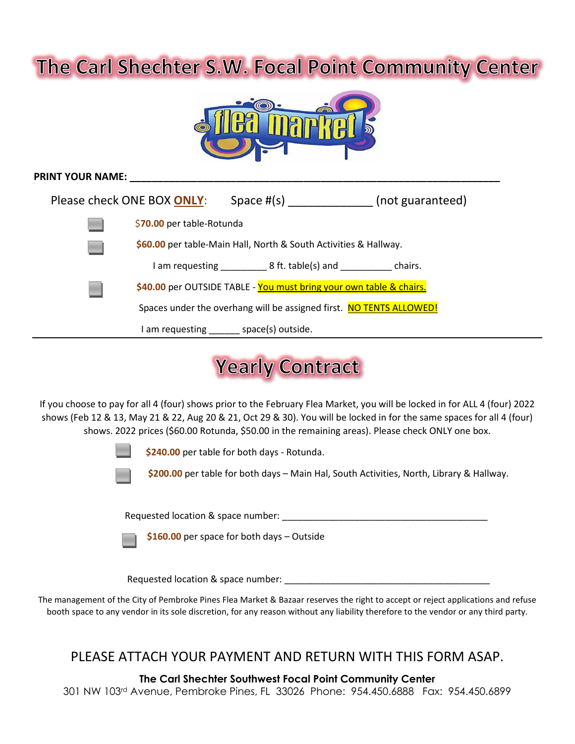## The Carl Shechter S.W. Focal Point Community Center



| <b>PRINT YOUR NAME:</b> |                                                                  |                                                                     |                  |
|-------------------------|------------------------------------------------------------------|---------------------------------------------------------------------|------------------|
|                         | Please check ONE BOX ONLY:                                       | Space $#(s)$                                                        | (not guaranteed) |
|                         | \$70.00 per table-Rotunda                                        |                                                                     |                  |
|                         | \$60.00 per table-Main Hall, North & South Activities & Hallway. |                                                                     |                  |
|                         |                                                                  | $\Box$ am requesting $\Box$ 8 ft. table(s) and $\Box$ chairs.       |                  |
|                         |                                                                  | \$40.00 per OUTSIDE TABLE - You must bring your own table & chairs. |                  |
|                         |                                                                  | Spaces under the overhang will be assigned first. NO TENTS ALLOWED! |                  |
|                         |                                                                  | am requesting _______ space(s) outside.                             |                  |

## **Yearly Contract**

If you choose to pay for all 4 (four) shows prior to the February Flea Market, you will be locked in for ALL 4 (four) 2022 shows (Feb 12 & 13, May 21 & 22, Aug 20 & 21, Oct 29 & 30). You will be locked in for the same spaces for all 4 (four) shows. 2022 prices (\$60.00 Rotunda, \$50.00 in the remaining areas). Please check ONLY one box.



**\$240.00** per table for both days - Rotunda.



**\$200.00** per table for both days – Main Hal, South Activities, North, Library & Hallway.

Requested location & space number: \_\_\_\_\_\_\_\_\_\_\_\_\_\_\_\_\_\_\_\_\_\_\_\_\_\_\_\_\_\_\_\_\_\_\_\_\_\_\_\_

**\$160.00** per space for both days – Outside

Requested location & space number:  $\blacksquare$ 

The management of the City of Pembroke Pines Flea Market & Bazaar reserves the right to accept or reject applications and refuse booth space to any vendor in its sole discretion, for any reason without any liability therefore to the vendor or any third party.

#### PLEASE ATTACH YOUR PAYMENT AND RETURN WITH THIS FORM ASAP.

**The Carl Shechter Southwest Focal Point Community Center**

301 NW 103rd Avenue, Pembroke Pines, FL 33026 Phone: 954.450.6888 Fax: 954.450.6899